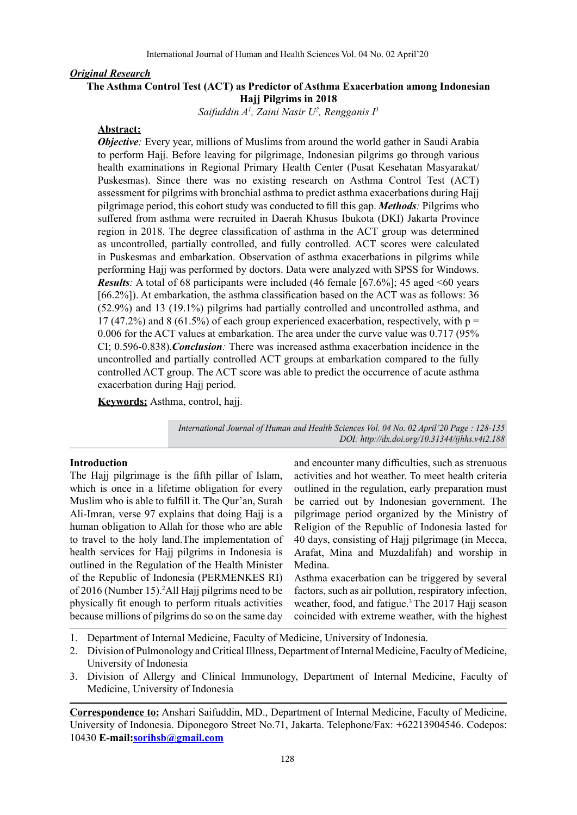## *Original Research*

## **The Asthma Control Test (ACT) as Predictor of Asthma Exacerbation among Indonesian Hajj Pilgrims in 2018**

*Saifuddin A1 , Zaini Nasir U2 , Rengganis I3*

#### **Abstract:**

*Objective:* Every year, millions of Muslims from around the world gather in Saudi Arabia to perform Hajj. Before leaving for pilgrimage, Indonesian pilgrims go through various health examinations in Regional Primary Health Center (Pusat Kesehatan Masyarakat/ Puskesmas). Since there was no existing research on Asthma Control Test (ACT) assessment for pilgrims with bronchial asthma to predict asthma exacerbations during Hajj pilgrimage period, this cohort study was conducted to fill this gap. *Methods:* Pilgrims who suffered from asthma were recruited in Daerah Khusus Ibukota (DKI) Jakarta Province region in 2018. The degree classification of asthma in the ACT group was determined as uncontrolled, partially controlled, and fully controlled. ACT scores were calculated in Puskesmas and embarkation. Observation of asthma exacerbations in pilgrims while performing Hajj was performed by doctors. Data were analyzed with SPSS for Windows. *Results:* A total of 68 participants were included (46 female [67.6%]; 45 aged <60 years [66.2%]). At embarkation, the asthma classification based on the ACT was as follows: 36 (52.9%) and 13 (19.1%) pilgrims had partially controlled and uncontrolled asthma, and 17 (47.2%) and 8 (61.5%) of each group experienced exacerbation, respectively, with  $p =$ 0.006 for the ACT values at embarkation. The area under the curve value was 0.717 (95% CI; 0.596-0.838).*Conclusion:* There was increased asthma exacerbation incidence in the uncontrolled and partially controlled ACT groups at embarkation compared to the fully controlled ACT group. The ACT score was able to predict the occurrence of acute asthma exacerbation during Hajj period.

**Keywords:** Asthma, control, hajj.

*International Journal of Human and Health Sciences Vol. 04 No. 02 April'20 Page : 128-135 DOI: http://dx.doi.org/10.31344/ijhhs.v4i2.188*

## **Introduction**

The Hajj pilgrimage is the fifth pillar of Islam, which is once in a lifetime obligation for every Muslim who is able to fulfill it. The Qur'an, Surah Ali-Imran, verse 97 explains that doing Hajj is a human obligation to Allah for those who are able to travel to the holy land.The implementation of health services for Hajj pilgrims in Indonesia is outlined in the Regulation of the Health Minister of the Republic of Indonesia (PERMENKES RI) of 2016 (Number 15).2 All Hajj pilgrims need to be physically fit enough to perform rituals activities because millions of pilgrims do so on the same day

and encounter many difficulties, such as strenuous activities and hot weather. To meet health criteria outlined in the regulation, early preparation must be carried out by Indonesian government. The pilgrimage period organized by the Ministry of Religion of the Republic of Indonesia lasted for 40 days, consisting of Hajj pilgrimage (in Mecca, Arafat, Mina and Muzdalifah) and worship in Medina.

Asthma exacerbation can be triggered by several factors, such as air pollution, respiratory infection, weather, food, and fatigue.<sup>3</sup> The 2017 Hajj season coincided with extreme weather, with the highest

- 1. Department of Internal Medicine, Faculty of Medicine, University of Indonesia.
- 2. Division of Pulmonology and Critical Illness, Department of Internal Medicine, Faculty of Medicine, University of Indonesia
- 3. Division of Allergy and Clinical Immunology, Department of Internal Medicine, Faculty of Medicine, University of Indonesia

**Correspondence to:** Anshari Saifuddin, MD., Department of Internal Medicine, Faculty of Medicine, University of Indonesia. Diponegoro Street No.71, Jakarta. Telephone/Fax: +62213904546. Codepos: 10430 **E-mail:sorihsb@gmail.com**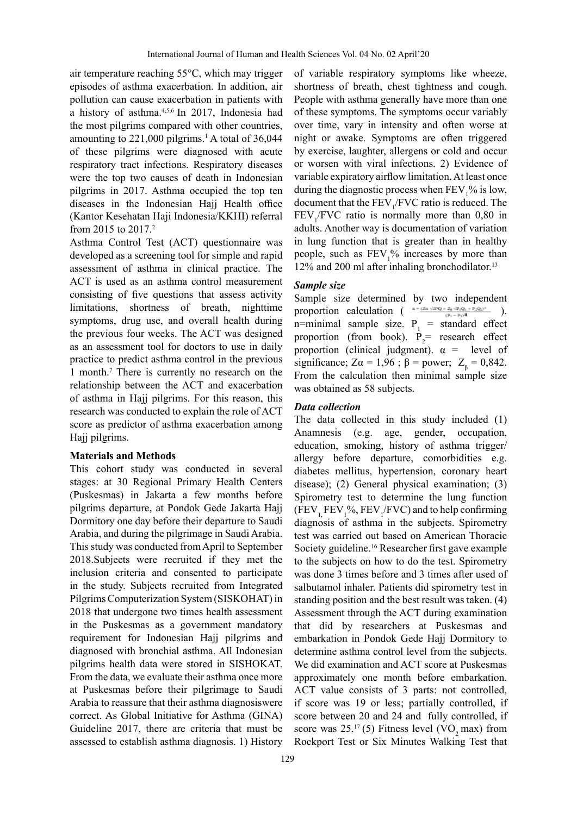air temperature reaching 55°C, which may trigger episodes of asthma exacerbation. In addition, air pollution can cause exacerbation in patients with a history of asthma.4,5,6 In 2017, Indonesia had the most pilgrims compared with other countries, amounting to  $221,000$  pilgrims.<sup>1</sup> A total of  $36,044$ of these pilgrims were diagnosed with acute respiratory tract infections. Respiratory diseases were the top two causes of death in Indonesian pilgrims in 2017. Asthma occupied the top ten diseases in the Indonesian Hajj Health office (Kantor Kesehatan Haji Indonesia/KKHI) referral from 2015 to 2017.2

Asthma Control Test (ACT) questionnaire was developed as a screening tool for simple and rapid assessment of asthma in clinical practice. The ACT is used as an asthma control measurement consisting of five questions that assess activity limitations, shortness of breath, nighttime symptoms, drug use, and overall health during the previous four weeks. The ACT was designed as an assessment tool for doctors to use in daily practice to predict asthma control in the previous 1 month.7 There is currently no research on the relationship between the ACT and exacerbation of asthma in Hajj pilgrims. For this reason, this research was conducted to explain the role of ACT score as predictor of asthma exacerbation among Hajj pilgrims.

#### **Materials and Methods**

This cohort study was conducted in several stages: at 30 Regional Primary Health Centers (Puskesmas) in Jakarta a few months before pilgrims departure, at Pondok Gede Jakarta Hajj Dormitory one day before their departure to Saudi Arabia, and during the pilgrimage in Saudi Arabia. This study was conducted from April to September 2018.Subjects were recruited if they met the inclusion criteria and consented to participate in the study. Subjects recruited from Integrated Pilgrims Computerization System (SISKOHAT) in 2018 that undergone two times health assessment in the Puskesmas as a government mandatory requirement for Indonesian Hajj pilgrims and diagnosed with bronchial asthma. All Indonesian pilgrims health data were stored in SISHOKAT. From the data, we evaluate their asthma once more at Puskesmas before their pilgrimage to Saudi Arabia to reassure that their asthma diagnosiswere correct. As Global Initiative for Asthma (GINA) Guideline 2017, there are criteria that must be assessed to establish asthma diagnosis. 1) History

of variable respiratory symptoms like wheeze, shortness of breath, chest tightness and cough. People with asthma generally have more than one of these symptoms. The symptoms occur variably over time, vary in intensity and often worse at night or awake. Symptoms are often triggered by exercise, laughter, allergens or cold and occur or worsen with viral infections. 2) Evidence of variable expiratory airflow limitation. At least once during the diagnostic process when  $\text{FEV}_1^{\text{o}}$  is low, document that the  $FEV<sub>1</sub>/FVC$  ratio is reduced. The  $FEV<sub>1</sub>/FVC$  ratio is normally more than 0,80 in adults. Another way is documentation of variation in lung function that is greater than in healthy people, such as  $FEV<sub>1</sub>$ % increases by more than 12% and 200 ml after inhaling bronchodilator.<sup>13</sup>

## *Sample size*

Sample size determined by two independent proportion calculation ( $\frac{n = (Za \sqrt{2PQ} + Z_0 \sqrt{P_1Q_1} + P_2Q_2)^2}{(P_1 - P_2)^4}$ ). n=minimal sample size.  $P_1$  = standard effect proportion (from book).  $P_2$  research effect proportion (clinical judgment).  $\alpha$  = level of significance; Z $\alpha = 1.96$ ;  $\beta =$  power; Z<sub> $\beta$ </sub> = 0.842. From the calculation then minimal sample size was obtained as 58 subjects.

### *Data collection*

The data collected in this study included (1) Anamnesis (e.g. age, gender, occupation, education, smoking, history of asthma trigger/ allergy before departure, comorbidities e.g. diabetes mellitus, hypertension, coronary heart disease); (2) General physical examination; (3) Spirometry test to determine the lung function  $(FEV_{1,} FEV_{1,} %$ ,  $FEV_{1,}$ <sup> $\mathcal{N}_{1,}$ </sup> FVC) and to help confirming diagnosis of asthma in the subjects. Spirometry test was carried out based on American Thoracic Society guideline.<sup>16</sup> Researcher first gave example to the subjects on how to do the test. Spirometry was done 3 times before and 3 times after used of salbutamol inhaler. Patients did spirometry test in standing position and the best result was taken. (4) Assessment through the ACT during examination that did by researchers at Puskesmas and embarkation in Pondok Gede Hajj Dormitory to determine asthma control level from the subjects. We did examination and ACT score at Puskesmas approximately one month before embarkation. ACT value consists of 3 parts: not controlled, if score was 19 or less; partially controlled, if score between 20 and 24 and fully controlled, if score was  $25^{17}$  (5) Fitness level (VO<sub>2</sub> max) from Rockport Test or Six Minutes Walking Test that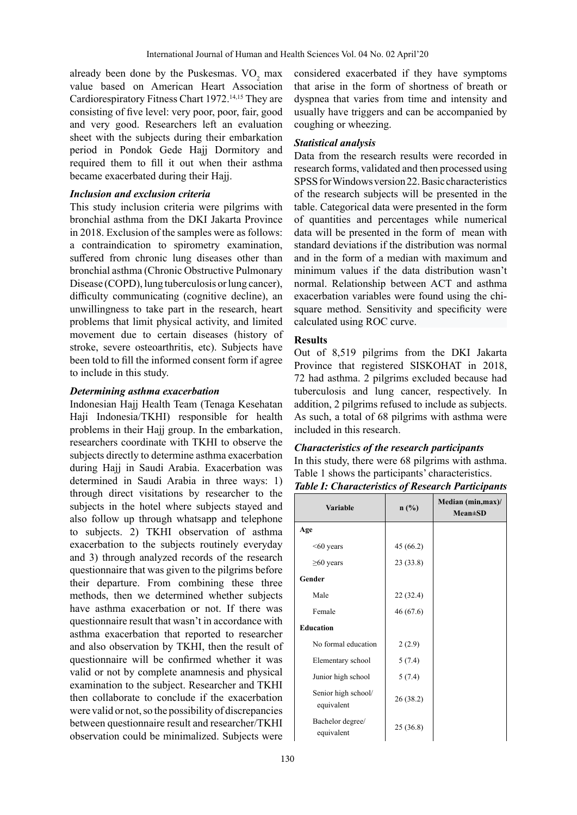already been done by the Puskesmas.  $VO<sub>2</sub>$  max value based on American Heart Association Cardiorespiratory Fitness Chart 1972.<sup>14,15</sup> They are consisting of five level: very poor, poor, fair, good and very good. Researchers left an evaluation sheet with the subjects during their embarkation period in Pondok Gede Hajj Dormitory and required them to fill it out when their asthma became exacerbated during their Hajj.

## *Inclusion and exclusion criteria*

This study inclusion criteria were pilgrims with bronchial asthma from the DKI Jakarta Province in 2018. Exclusion of the samples were as follows: a contraindication to spirometry examination, suffered from chronic lung diseases other than bronchial asthma (Chronic Obstructive Pulmonary Disease (COPD), lung tuberculosis or lung cancer), difficulty communicating (cognitive decline), an unwillingness to take part in the research, heart problems that limit physical activity, and limited movement due to certain diseases (history of stroke, severe osteoarthritis, etc). Subjects have been told to fill the informed consent form if agree to include in this study.

# *Determining asthma exacerbation*

Indonesian Hajj Health Team (Tenaga Kesehatan Haji Indonesia/TKHI) responsible for health problems in their Hajj group. In the embarkation, researchers coordinate with TKHI to observe the subjects directly to determine asthma exacerbation during Hajj in Saudi Arabia. Exacerbation was determined in Saudi Arabia in three ways: 1) through direct visitations by researcher to the subjects in the hotel where subjects stayed and also follow up through whatsapp and telephone to subjects. 2) TKHI observation of asthma exacerbation to the subjects routinely everyday and 3) through analyzed records of the research questionnaire that was given to the pilgrims before their departure. From combining these three methods, then we determined whether subjects have asthma exacerbation or not. If there was questionnaire result that wasn't in accordance with asthma exacerbation that reported to researcher and also observation by TKHI, then the result of questionnaire will be confirmed whether it was valid or not by complete anamnesis and physical examination to the subject. Researcher and TKHI then collaborate to conclude if the exacerbation were valid or not, so the possibility of discrepancies between questionnaire result and researcher/TKHI observation could be minimalized. Subjects were

considered exacerbated if they have symptoms that arise in the form of shortness of breath or dyspnea that varies from time and intensity and usually have triggers and can be accompanied by coughing or wheezing.

## *Statistical analysis*

Data from the research results were recorded in research forms, validated and then processed using SPSS for Windows version 22. Basic characteristics of the research subjects will be presented in the table. Categorical data were presented in the form of quantities and percentages while numerical data will be presented in the form of mean with standard deviations if the distribution was normal and in the form of a median with maximum and minimum values if the data distribution wasn't normal. Relationship between ACT and asthma exacerbation variables were found using the chisquare method. Sensitivity and specificity were calculated using ROC curve.

## **Results**

Out of 8,519 pilgrims from the DKI Jakarta Province that registered SISKOHAT in 2018, 72 had asthma. 2 pilgrims excluded because had tuberculosis and lung cancer, respectively. In addition, 2 pilgrims refused to include as subjects. As such, a total of 68 pilgrims with asthma were included in this research.

# *Characteristics of the research participants*

In this study, there were 68 pilgrims with asthma. Table 1 shows the participants' characteristics.

| <b>Variable</b>                   | n(%)      | Median (min, max)/<br>$Mean \pm SD$ |
|-----------------------------------|-----------|-------------------------------------|
| Age                               |           |                                     |
| $<$ 60 years                      | 45 (66.2) |                                     |
| $\geq 60$ years                   | 23 (33.8) |                                     |
| Gender                            |           |                                     |
| Male                              | 22 (32.4) |                                     |
| Female                            | 46(67.6)  |                                     |
| <b>Education</b>                  |           |                                     |
| No formal education               | 2(2.9)    |                                     |
| Elementary school                 | 5(7.4)    |                                     |
| Junior high school                | 5(7.4)    |                                     |
| Senior high school/<br>equivalent | 26 (38.2) |                                     |
| Bachelor degree/<br>equivalent    | 25(36.8)  |                                     |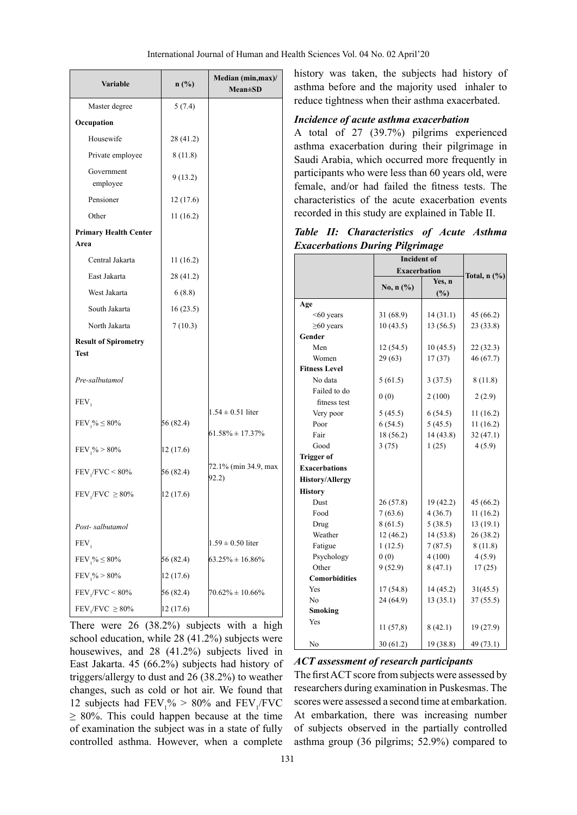| <b>Variable</b>                            | n(%)      | Median (min, max)/<br><b>Mean±SD</b> |
|--------------------------------------------|-----------|--------------------------------------|
| Master degree                              | 5(7.4)    |                                      |
| Occupation                                 |           |                                      |
| Housewife                                  | 28 (41.2) |                                      |
| Private employee                           | 8(11.8)   |                                      |
| Government<br>employee                     | 9(13.2)   |                                      |
| Pensioner                                  | 12(17.6)  |                                      |
| Other                                      | 11 (16.2) |                                      |
| <b>Primary Health Center</b><br>Area       |           |                                      |
| Central Jakarta                            | 11 (16.2) |                                      |
| East Jakarta                               | 28 (41.2) |                                      |
| West Jakarta                               | 6(8.8)    |                                      |
| South Jakarta                              | 16(23.5)  |                                      |
| North Jakarta                              | 7(10.3)   |                                      |
| <b>Result of Spirometry</b><br><b>Test</b> |           |                                      |
| Pre-salbutamol                             |           |                                      |
| FEV,                                       |           |                                      |
| $FEV_1\% \leq 80\%$                        | 56 (82.4) | $1.54 \pm 0.51$ liter                |
|                                            |           | $61.58\% \pm 17.37\%$                |
| $FEV_1\% > 80\%$                           | 12 (17.6) |                                      |
| $FEV$ <sub>1</sub> / $FVC < 80\%$          | 56 (82.4) | 72.1% (min 34.9, max<br>92.2)        |
| $FEV$ <sub>1</sub> / $FVC \geq 80\%$       | 12 (17.6) |                                      |
| Post-salbutamol                            |           |                                      |
| FEV,                                       |           | $1.59 \pm 0.50$ liter                |
| $FEV_1\% \leq 80\%$                        | 56 (82.4) | $63.25\% \pm 16.86\%$                |
| $FEV_1\% > 80\%$                           | 12 (17.6) |                                      |
| $FEV$ <sub>1</sub> / $FVC < 80\%$          | 56 (82.4) | $70.62\% \pm 10.66\%$                |
| $FEV$ <sub>1</sub> / $FVC \geq 80\%$       | 12 (17.6) |                                      |

There were 26 (38.2%) subjects with a high school education, while 28 (41.2%) subjects were housewives, and 28 (41.2%) subjects lived in East Jakarta. 45 (66.2%) subjects had history of triggers/allergy to dust and 26 (38.2%) to weather changes, such as cold or hot air. We found that 12 subjects had  $\text{FEV}_1\% > 80\%$  and  $\text{FEV}_1/\text{FVC}$  $\geq 80\%$ . This could happen because at the time of examination the subject was in a state of fully controlled asthma. However, when a complete

history was taken, the subjects had history of asthma before and the majority used inhaler to reduce tightness when their asthma exacerbated.

#### *Incidence of acute asthma exacerbation*

A total of 27 (39.7%) pilgrims experienced asthma exacerbation during their pilgrimage in Saudi Arabia, which occurred more frequently in participants who were less than 60 years old, were female, and/or had failed the fitness tests. The characteristics of the acute exacerbation events recorded in this study are explained in Table II.

*Table II: Characteristics of Acute Asthma Exacerbations During Pilgrimage*

|                        | <b>Incident of</b>  |           |                   |  |
|------------------------|---------------------|-----------|-------------------|--|
|                        | <b>Exacerbation</b> |           |                   |  |
|                        |                     | Yes, n    | Total, $n$ $(\%)$ |  |
|                        | No, $n$ (%)         | (%)       |                   |  |
| Age                    |                     |           |                   |  |
| $<$ 60 years           | 31 (68.9)           | 14(31.1)  | 45 (66.2)         |  |
| $\geq 60$ years        | 10(43.5)            | 13 (56.5) | 23(33.8)          |  |
| Gender                 |                     |           |                   |  |
| Men                    | 12(54.5)            | 10(45.5)  | 22 (32.3)         |  |
| Women                  | 29(63)              | 17(37)    | 46 (67.7)         |  |
| <b>Fitness Level</b>   |                     |           |                   |  |
| No data                | 5(61.5)             | 3(37.5)   | 8(11.8)           |  |
| Failed to do           | 0(0)                | 2(100)    | 2(2.9)            |  |
| fitness test           |                     |           |                   |  |
| Very poor              | 5(45.5)             | 6(54.5)   | 11(16.2)          |  |
| Poor                   | 6(54.5)             | 5(45.5)   | 11(16.2)          |  |
| Fair                   | 18 (56.2)           | 14 (43.8) | 32(47.1)          |  |
| Good                   | 3(75)               | 1(25)     | 4(5.9)            |  |
| <b>Trigger of</b>      |                     |           |                   |  |
| <b>Exacerbations</b>   |                     |           |                   |  |
| <b>History/Allergy</b> |                     |           |                   |  |
| <b>History</b>         |                     |           |                   |  |
| Dust                   | 26(57.8)            | 19 (42.2) | 45(66.2)          |  |
| Food                   | 7(63.6)             | 4(36.7)   | 11(16.2)          |  |
| Drug                   | 8(61.5)             | 5(38.5)   | 13(19.1)          |  |
| Weather                | 12(46.2)            | 14(53.8)  | 26(38.2)          |  |
| Fatigue                | 1(12.5)             | 7(87.5)   | 8(11.8)           |  |
| Psychology             | 0(0)                | 4(100)    | 4(5.9)            |  |
| Other                  | 9(52.9)             | 8(47.1)   | 17(25)            |  |
| <b>Comorbidities</b>   |                     |           |                   |  |
| Yes                    | 17(54.8)            | 14 (45.2) | 31(45.5)          |  |
| No                     | 24 (64.9)           | 13(35.1)  | 37(55.5)          |  |
| Smoking                |                     |           |                   |  |
| Yes                    | 11(57,8)            | 8(42.1)   | 19(27.9)          |  |
| No                     | 30(61.2)            | 19 (38.8) | 49 (73.1)         |  |

## *ACT assessment of research participants*

The first ACT score from subjects were assessed by researchers during examination in Puskesmas. The scores were assessed a second time at embarkation. At embarkation, there was increasing number of subjects observed in the partially controlled asthma group (36 pilgrims; 52.9%) compared to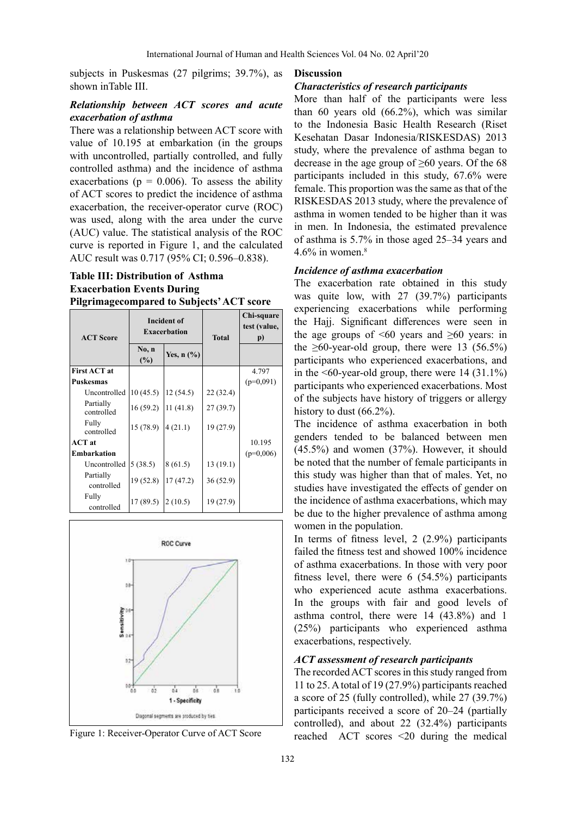subjects in Puskesmas (27 pilgrims; 39.7%), as shown inTable III.

## *Relationship between ACT scores and acute exacerbation of asthma*

There was a relationship between ACT score with value of 10.195 at embarkation (in the groups with uncontrolled, partially controlled, and fully controlled asthma) and the incidence of asthma exacerbations ( $p = 0.006$ ). To assess the ability of ACT scores to predict the incidence of asthma exacerbation, the receiver-operator curve (ROC) was used, along with the area under the curve (AUC) value. The statistical analysis of the ROC curve is reported in Figure 1, and the calculated AUC result was 0.717 (95% CI; 0.596–0.838).

# **Table III: Distribution of Asthma Exacerbation Events During Pilgrimagecompared to Subjects' ACT score**

| <b>ACT Score</b>        | <b>Incident of</b><br><b>Exacerbation</b> |                                     | <b>Total</b> | Chi-square<br>test (value,<br>$\mathbf{p}$ |
|-------------------------|-------------------------------------------|-------------------------------------|--------------|--------------------------------------------|
|                         | No, n<br>$(\%)$                           | Yes, $n$ $\left(\frac{9}{6}\right)$ |              |                                            |
| <b>First ACT at</b>     |                                           |                                     |              | 4.797                                      |
| <b>Puskesmas</b>        |                                           |                                     |              | $(p=0,091)$                                |
| Uncontrolled            | 10(45.5)                                  | 12(54.5)                            | 22 (32.4)    |                                            |
| Partially<br>controlled | 16(59.2)                                  | 11(41.8)                            | 27(39.7)     |                                            |
| Fully<br>controlled     | 15 (78.9)                                 | 4(21.1)                             | 19 (27.9)    |                                            |
| <b>ACT</b> at           |                                           |                                     |              | 10.195                                     |
| <b>Embarkation</b>      |                                           |                                     |              | $(p=0,006)$                                |
| Uncontrolled            | 5(38.5)                                   | 8(61.5)                             | 13(19.1)     |                                            |
| Partially<br>controlled | 19(52.8)                                  | 17(47.2)                            | 36(52.9)     |                                            |
| Fully<br>controlled     | 17(89.5)                                  | 2(10.5)                             | 19 (27.9)    |                                            |



### **Discussion**

## *Characteristics of research participants*

More than half of the participants were less than 60 years old (66.2%), which was similar to the Indonesia Basic Health Research (Riset Kesehatan Dasar Indonesia/RISKESDAS) 2013 study, where the prevalence of asthma began to decrease in the age group of  $\geq 60$  years. Of the 68 participants included in this study, 67.6% were female. This proportion was the same as that of the RISKESDAS 2013 study, where the prevalence of asthma in women tended to be higher than it was in men. In Indonesia, the estimated prevalence of asthma is 5.7% in those aged 25–34 years and 4.6% in women. $8$ 

## *Incidence of asthma exacerbation*

The exacerbation rate obtained in this study was quite low, with 27 (39.7%) participants experiencing exacerbations while performing the Hajj. Significant differences were seen in the age groups of  $\leq 60$  years and  $\geq 60$  years: in the  $\geq 60$ -year-old group, there were 13 (56.5%) participants who experienced exacerbations, and in the  $\leq 60$ -year-old group, there were 14 (31.1%) participants who experienced exacerbations. Most of the subjects have history of triggers or allergy history to dust (66.2%).

The incidence of asthma exacerbation in both genders tended to be balanced between men (45.5%) and women (37%). However, it should be noted that the number of female participants in this study was higher than that of males. Yet, no studies have investigated the effects of gender on the incidence of asthma exacerbations, which may be due to the higher prevalence of asthma among women in the population.

In terms of fitness level, 2 (2.9%) participants failed the fitness test and showed 100% incidence of asthma exacerbations. In those with very poor fitness level, there were 6 (54.5%) participants who experienced acute asthma exacerbations. In the groups with fair and good levels of asthma control, there were 14 (43.8%) and 1 (25%) participants who experienced asthma exacerbations, respectively.

#### *ACT assessment of research participants*

The recorded ACT scores in this study ranged from 11 to 25. A total of 19 (27.9%) participants reached a score of 25 (fully controlled), while 27 (39.7%) participants received a score of 20–24 (partially controlled), and about 22 (32.4%) participants Figure 1: Receiver-Operator Curve of ACT Score reached ACT scores <20 during the medical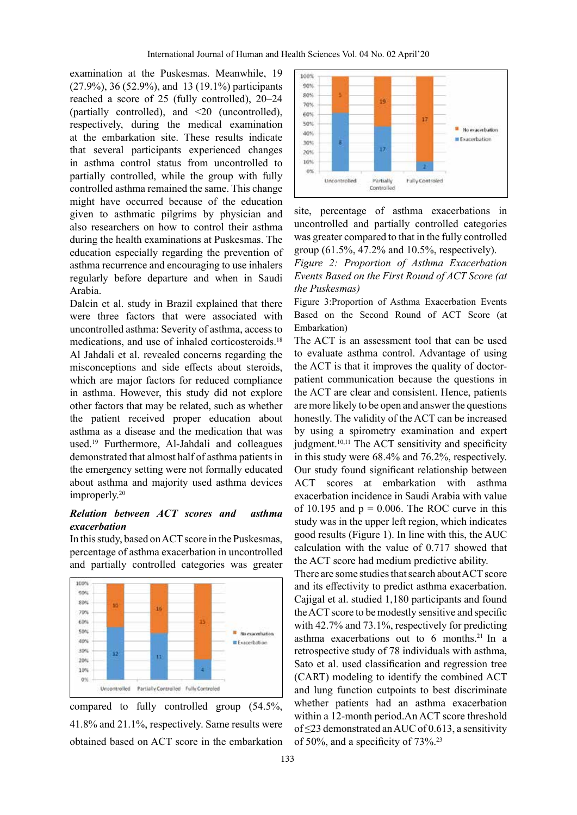examination at the Puskesmas. Meanwhile, 19 (27.9%), 36 (52.9%), and 13 (19.1%) participants reached a score of 25 (fully controlled), 20–24 (partially controlled), and <20 (uncontrolled), respectively, during the medical examination at the embarkation site. These results indicate that several participants experienced changes in asthma control status from uncontrolled to partially controlled, while the group with fully controlled asthma remained the same. This change might have occurred because of the education given to asthmatic pilgrims by physician and also researchers on how to control their asthma during the health examinations at Puskesmas. The education especially regarding the prevention of asthma recurrence and encouraging to use inhalers regularly before departure and when in Saudi Arabia.

Dalcin et al. study in Brazil explained that there were three factors that were associated with uncontrolled asthma: Severity of asthma, access to medications, and use of inhaled corticosteroids.<sup>18</sup> Al Jahdali et al. revealed concerns regarding the misconceptions and side effects about steroids, which are major factors for reduced compliance in asthma. However, this study did not explore other factors that may be related, such as whether the patient received proper education about asthma as a disease and the medication that was used.19 Furthermore, Al-Jahdali and colleagues demonstrated that almost half of asthma patients in the emergency setting were not formally educated about asthma and majority used asthma devices improperly.<sup>20</sup>

# *Relation between ACT scores and asthma exacerbation*

In this study, based on ACT score in the Puskesmas, percentage of asthma exacerbation in uncontrolled and partially controlled categories was greater



compared to fully controlled group (54.5%, 41.8% and 21.1%, respectively. Same results were obtained based on ACT score in the embarkation





*Figure 2: Proportion of Asthma Exacerbation Events Based on the First Round of ACT Score (at the Puskesmas)*

Figure 3:Proportion of Asthma Exacerbation Events Based on the Second Round of ACT Score (at Embarkation)

The ACT is an assessment tool that can be used to evaluate asthma control. Advantage of using the ACT is that it improves the quality of doctorpatient communication because the questions in the ACT are clear and consistent. Hence, patients are more likely to be open and answer the questions honestly. The validity of the ACT can be increased by using a spirometry examination and expert judgment.<sup>10,11</sup> The ACT sensitivity and specificity in this study were 68.4% and 76.2%, respectively. Our study found significant relationship between ACT scores at embarkation with asthma exacerbation incidence in Saudi Arabia with value of 10.195 and  $p = 0.006$ . The ROC curve in this study was in the upper left region, which indicates good results (Figure 1). In line with this, the AUC calculation with the value of 0.717 showed that the ACT score had medium predictive ability.

There are some studies that search about ACT score and its effectivity to predict asthma exacerbation. Cajigal et al. studied 1,180 participants and found the ACT score to be modestly sensitive and specific with 42.7% and 73.1%, respectively for predicting asthma exacerbations out to  $6$  months.<sup>21</sup> In a retrospective study of 78 individuals with asthma, Sato et al. used classification and regression tree (CART) modeling to identify the combined ACT and lung function cutpoints to best discriminate whether patients had an asthma exacerbation within a 12-month period.An ACT score threshold of  $\leq$ 23 demonstrated an AUC of 0.613, a sensitivity of 50%, and a specificity of 73%.23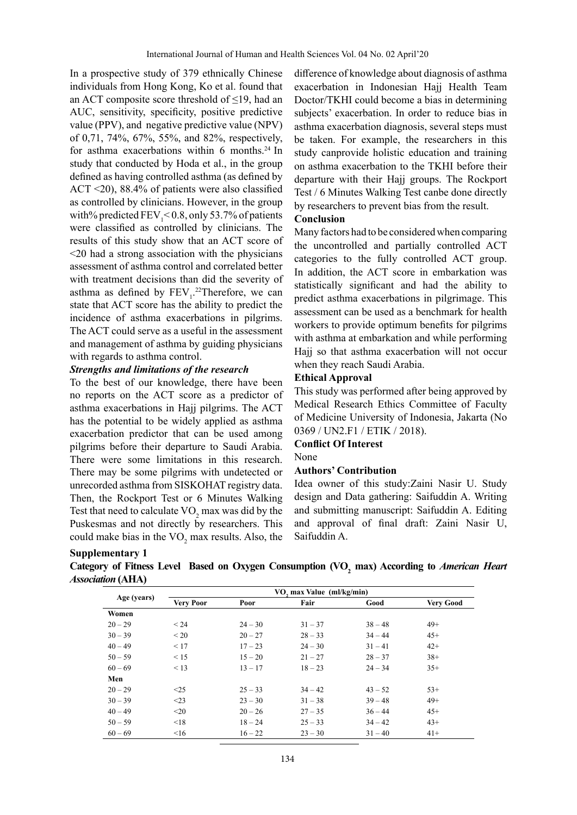In a prospective study of 379 ethnically Chinese individuals from Hong Kong, Ko et al. found that an ACT composite score threshold of  $\leq$ 19, had an AUC, sensitivity, specificity, positive predictive value (PPV), and negative predictive value (NPV) of 0,71, 74%, 67%, 55%, and 82%, respectively, for asthma exacerbations within 6 months.<sup>24</sup> In study that conducted by Hoda et al., in the group defined as having controlled asthma (as defined by ACT <20), 88.4% of patients were also classified as controlled by clinicians. However, in the group with% predicted  $\text{FEV}_1 < 0.8$ , only 53.7% of patients were classified as controlled by clinicians. The results of this study show that an ACT score of <20 had a strong association with the physicians assessment of asthma control and correlated better with treatment decisions than did the severity of as thma as defined by  $FEV_1$ <sup>22</sup>Therefore, we can state that ACT score has the ability to predict the incidence of asthma exacerbations in pilgrims. The ACT could serve as a useful in the assessment and management of asthma by guiding physicians with regards to asthma control.

### *Strengths and limitations of the research*

To the best of our knowledge, there have been no reports on the ACT score as a predictor of asthma exacerbations in Hajj pilgrims. The ACT has the potential to be widely applied as asthma exacerbation predictor that can be used among pilgrims before their departure to Saudi Arabia. There were some limitations in this research. There may be some pilgrims with undetected or unrecorded asthma from SISKOHAT registry data. Then, the Rockport Test or 6 Minutes Walking Test that need to calculate  $VO_2$  max was did by the Puskesmas and not directly by researchers. This could make bias in the  $VO<sub>2</sub>$  max results. Also, the difference of knowledge about diagnosis of asthma exacerbation in Indonesian Hajj Health Team Doctor/TKHI could become a bias in determining subjects' exacerbation. In order to reduce bias in asthma exacerbation diagnosis, several steps must be taken. For example, the researchers in this study canprovide holistic education and training on asthma exacerbation to the TKHI before their departure with their Hajj groups. The Rockport Test / 6 Minutes Walking Test canbe done directly by researchers to prevent bias from the result.

#### **Conclusion**

Many factors had to be considered when comparing the uncontrolled and partially controlled ACT categories to the fully controlled ACT group. In addition, the ACT score in embarkation was statistically significant and had the ability to predict asthma exacerbations in pilgrimage. This assessment can be used as a benchmark for health workers to provide optimum benefits for pilgrims with asthma at embarkation and while performing Hajj so that asthma exacerbation will not occur when they reach Saudi Arabia.

### **Ethical Approval**

This study was performed after being approved by Medical Research Ethics Committee of Faculty of Medicine University of Indonesia, Jakarta (No 0369 / UN2.F1 / ETIK / 2018).

#### **Conflict Of Interest**

#### None

#### **Authors' Contribution**

Idea owner of this study:Zaini Nasir U. Study design and Data gathering: Saifuddin A. Writing and submitting manuscript: Saifuddin A. Editing and approval of final draft: Zaini Nasir U, Saifuddin A.

#### **Supplementary 1**

| Category of Fitness Level Based on Oxygen Consumption (VO, max) According to American Heart |  |  |  |
|---------------------------------------------------------------------------------------------|--|--|--|
| <i><b>Association (AHA)</b></i>                                                             |  |  |  |

|             | VO, max Value (ml/kg/min) |           |           |           |                  |
|-------------|---------------------------|-----------|-----------|-----------|------------------|
| Age (years) | <b>Very Poor</b>          | Poor      | Fair      | Good      | <b>Very Good</b> |
| Women       |                           |           |           |           |                  |
| $20 - 29$   | < 24                      | $24 - 30$ | $31 - 37$ | $38 - 48$ | $49+$            |
| $30 - 39$   | < 20                      | $20 - 27$ | $28 - 33$ | $34 - 44$ | $45+$            |
| $40 - 49$   | < 17                      | $17 - 23$ | $24 - 30$ | $31 - 41$ | $42+$            |
| $50 - 59$   | < 15                      | $15 - 20$ | $21 - 27$ | $28 - 37$ | $38+$            |
| $60 - 69$   | < 13                      | $13 - 17$ | $18 - 23$ | $24 - 34$ | $35+$            |
| Men         |                           |           |           |           |                  |
| $20 - 29$   | <25                       | $25 - 33$ | $34 - 42$ | $43 - 52$ | $53+$            |
| $30 - 39$   | $<$ 23                    | $23 - 30$ | $31 - 38$ | $39 - 48$ | $49+$            |
| $40 - 49$   | $20$                      | $20 - 26$ | $27 - 35$ | $36 - 44$ | $45+$            |
| $50 - 59$   | < 18                      | $18 - 24$ | $25 - 33$ | $34 - 42$ | $43+$            |
| $60 - 69$   | $\leq 16$                 | $16 - 22$ | $23 - 30$ | $31 - 40$ | $41+$            |